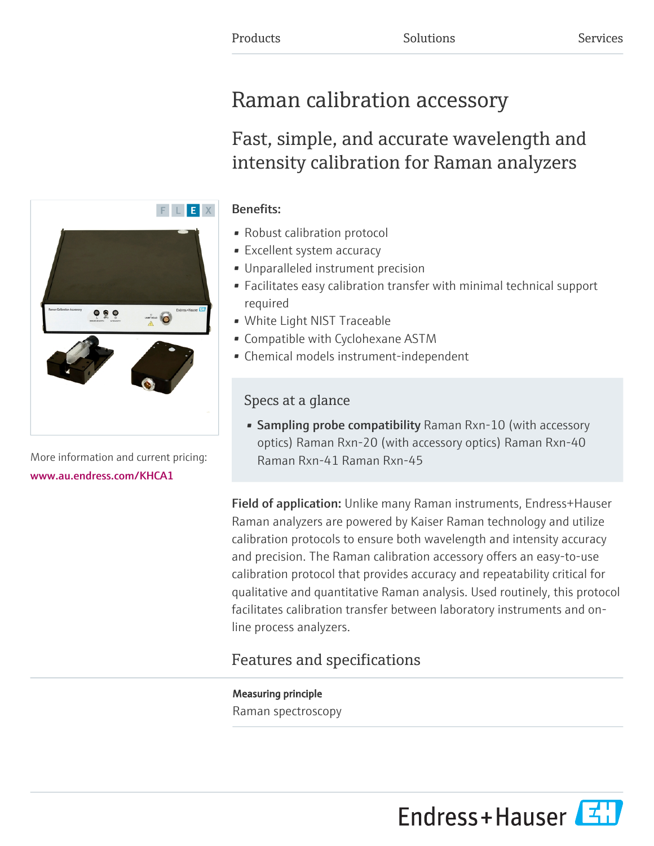# Raman calibration accessory

## Fast, simple, and accurate wavelength and intensity calibration for Raman analyzers

### Benefits:

F L E X

- Robust calibration protocol
- Excellent system accuracy
- Unparalleled instrument precision
- Facilitates easy calibration transfer with minimal technical support required
- White Light NIST Traceable
- Compatible with Cyclohexane ASTM
- Chemical models instrument-independent

## Specs at a glance

• Sampling probe compatibility Raman Rxn-10 (with accessory optics) Raman Rxn-20 (with accessory optics) Raman Rxn-40 Raman Rxn-41 Raman Rxn-45

Field of application: Unlike many Raman instruments, Endress+Hauser Raman analyzers are powered by Kaiser Raman technology and utilize calibration protocols to ensure both wavelength and intensity accuracy and precision. The Raman calibration accessory offers an easy-to-use calibration protocol that provides accuracy and repeatability critical for qualitative and quantitative Raman analysis. Used routinely, this protocol facilitates calibration transfer between laboratory instruments and online process analyzers.

## Features and specifications

Measuring principle Raman spectroscopy



More information and current pricing: [www.au.endress.com/KHCA1](https://www.au.endress.com/KHCA1)

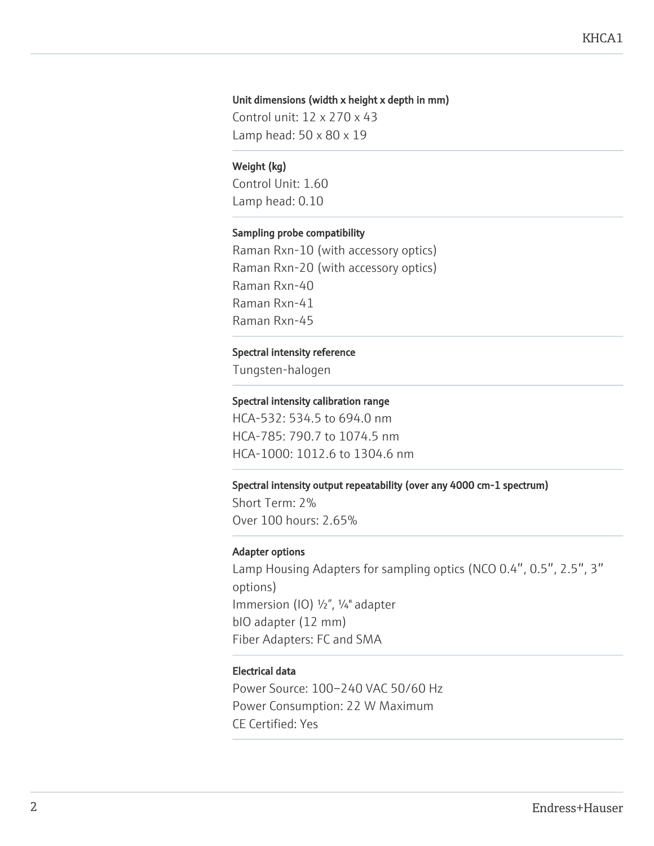#### Unit dimensions (width x height x depth in mm)

Control unit: 12 x 270 x 43 Lamp head: 50 x 80 x 19

#### Weight (kg)

Control Unit: 1.60 Lamp head: 0.10

#### Sampling probe compatibility

Raman Rxn-10 (with accessory optics) Raman Rxn-20 (with accessory optics) Raman Rxn-40 Raman Rxn-41 Raman Rxn-45

#### Spectral intensity reference

Tungsten-halogen

#### Spectral intensity calibration range

HCA-532: 534.5 to 694.0 nm HCA-785: 790.7 to 1074.5 nm HCA-1000: 1012.6 to 1304.6 nm

#### Spectral intensity output repeatability (over any 4000 cm-1 spectrum)

Short Term: 2% Over 100 hours: 2.65%

#### Adapter options

Lamp Housing Adapters for sampling optics (NCO 0.4″, 0.5″, 2.5″, 3″ options) Immersion (IO) ½", ¼" adapter bIO adapter (12 mm) Fiber Adapters: FC and SMA

#### Electrical data

Power Source: 100–240 VAC 50/60 Hz Power Consumption: 22 W Maximum CE Certified: Yes